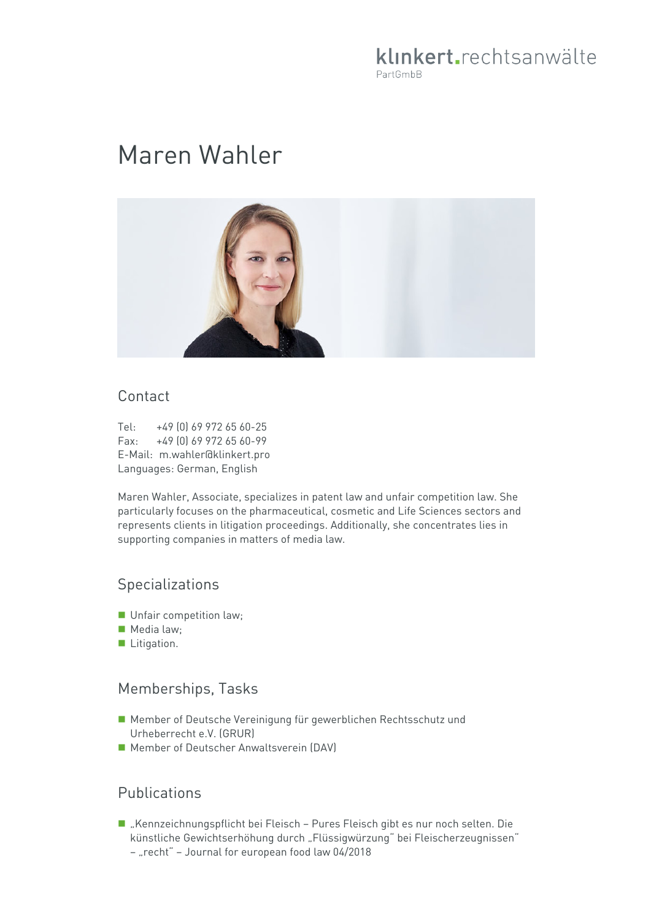# klinkert.rechtsanwälte PartGmbB

# Maren Wahler



#### Contact

Tel: +49 (0) 69 972 65 60-25 Fax: +49 (0) 69 972 65 60-99 E-Mail: m.wahler@klinkert.pro Languages: German, English

Maren Wahler, Associate, specializes in patent law and unfair competition law. She particularly focuses on the pharmaceutical, cosmetic and Life Sciences sectors and represents clients in litigation proceedings. Additionally, she concentrates lies in supporting companies in matters of media law.

#### Specializations

- **Unfair competition law;**
- Media law:
- **Litigation.**

#### Memberships, Tasks

- Member of Deutsche Vereinigung für gewerblichen Rechtsschutz und Urheberrecht e.V. (GRUR)
- Member of Deutscher Anwaltsverein (DAV)

## Publications

- "Kennzeichnungspflicht bei Fleisch Pures Fleisch gibt es nur noch selten. Die künstliche Gewichtserhöhung durch "Flüssigwürzung" bei Fleischerzeugnissen"
	- "recht" Journal for european food law 04/2018